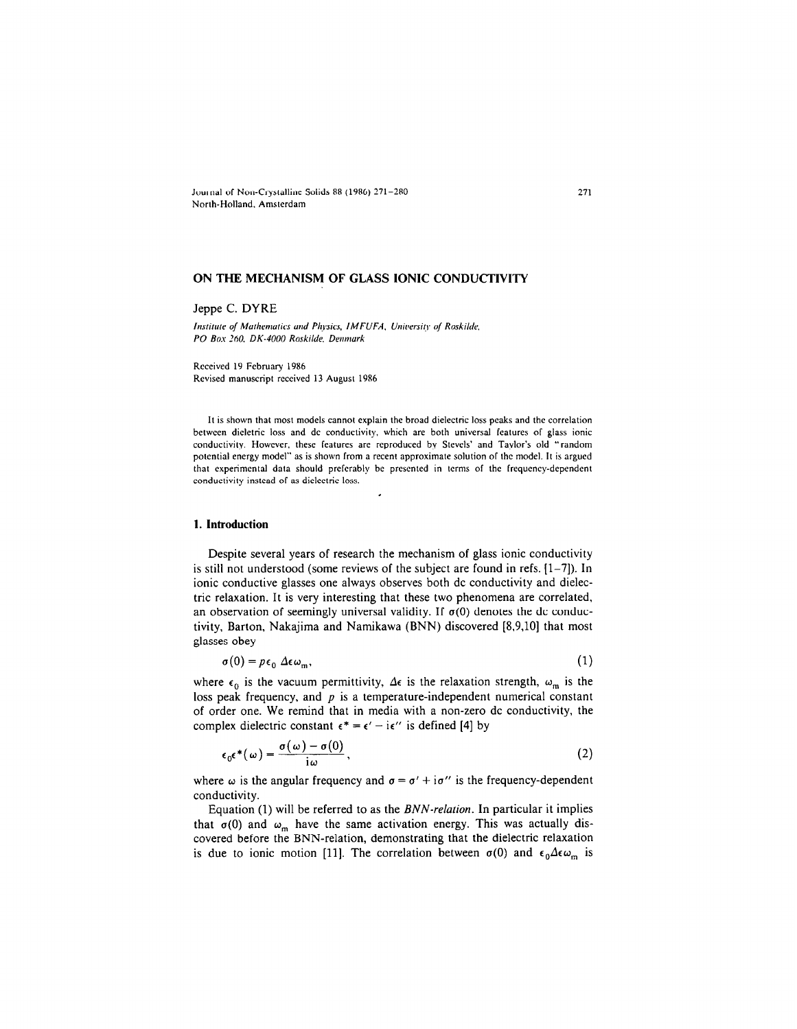Journal of Non-Crystalline Solids 88 (1986) 271-280 North-Holland. Amsterdam

# ON THE MECHANISM OF GLASS IONIC CONDUCTIVITV

## Jeppe C. DYRE

Institute of Mathematics and Physics, IMFUFA, University of Roskilde, PO Box 260, DK-4000 Roskilde, Denmark

Received 19 February 1986 Revised manuscript received 13 August 1986

II is shown that most models cannot explain the broad dielectric loss peaks and the correlation between dicletric loss and dc conductivity, which are both universal features of glass ionic conductivity. However, these features are reproduced by Stevels' and Taylor's old "random potential energy model" as is shown from a recent approximate solution of the model. 11 is argued that experimental data should preferably be prcscnted in terms of the frequency-dependent conductivity instead of as dielectric loss.

#### 1. Introduction

Despite several years of research the mechanism of glass ionic conductivity is still not understood (some reviews of the subject are found in refs.  $[1-7]$ ). In ionic conductive glasses one always observes both dc conductivity and dielectric relaxation. It is very interesting that these two phenomena are correlated, an observation of seemingly universal validity. If  $\sigma(0)$  denotes the dc conductivity, Barton, Nakajima and Namikawa (BNN) discovered [8.9,10] that most glasses obey

$$
\sigma(0) = p\epsilon_0 \Delta \epsilon \omega_m,\tag{1}
$$

where  $\epsilon_0$  is the vacuum permittivity,  $\Delta \epsilon$  is the relaxation strength,  $\omega_m$  is the loss peak frequency, and  $p$  is a temperature-independent numerical constant of order one. We remind that in media with a non-zero dc conductivity, the complex dielectric constant  $\epsilon^* = \epsilon' - i\epsilon''$  is defined [4] by

$$
\epsilon_0 \epsilon^* (\omega) = \frac{\sigma(\omega) - \sigma(0)}{i \omega}, \qquad (2)
$$

where  $\omega$  is the angular frequency and  $\sigma = \sigma' + i\sigma''$  is the frequency-dependent conductivity.

Equation (1) will be referred to as the BNN-relation. In particular it implies that  $\sigma(0)$  and  $\omega_m$  have the same activation energy. This was actually discovered before the BNN-relation, demonstration, demonstration, demonstration, demonstration, demonstration, de  $\frac{1}{\sqrt{2}}$  is due to increase the correlation between understanding that the correlation  $\frac{1}{\sqrt{2}}$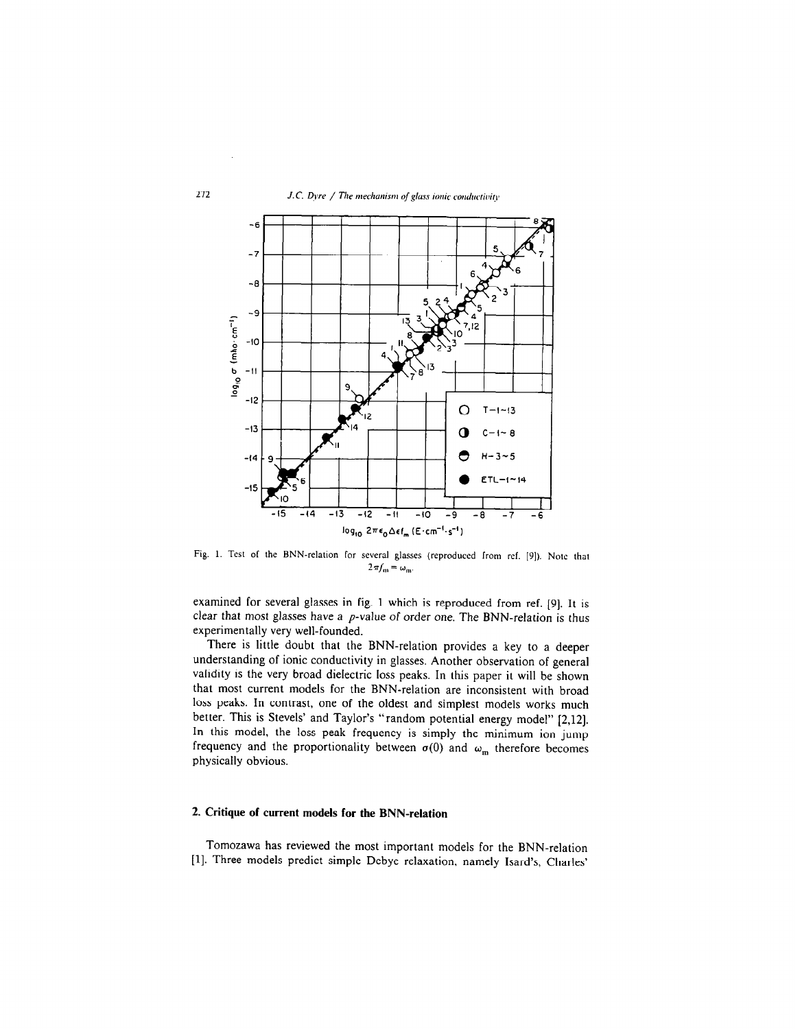

verai giass:  $2\pi f_m = \omega_m$ .

exammed for several glasses in rig. I which is reproduced from ref. [9]. It is clear that most glasses have a  $p$ -value of order one. The BNN-relation is thus experimentally very well-founded.  $S$  is little downtown provided.

I nere is little doubt that the BNN-relation provides a key to a deepe understanding of ionic conductivity in glasses. Another observation of general validity is the very broad dielectric loss peaks. In this paper it will be shown that most current models for the BNN-relation are inconsistent with broad loss peaks. In contrast, one of the oldest and simplest models works much better. This is Stevels' and Taylor's "random potential energy model" [2,12]. In this model, the loss peak frequency is simply the minimum ion jump frequency and the proportionality between  $\sigma(0)$  and  $\omega_m$  therefore becomes physically obvious.

# 2. Critique of current models for the BNN-relation

Tomozawa has reviewed the most important models for the BNN-relation [1]. Three models predict simple Debye relaxation, namely Isard's, Charles'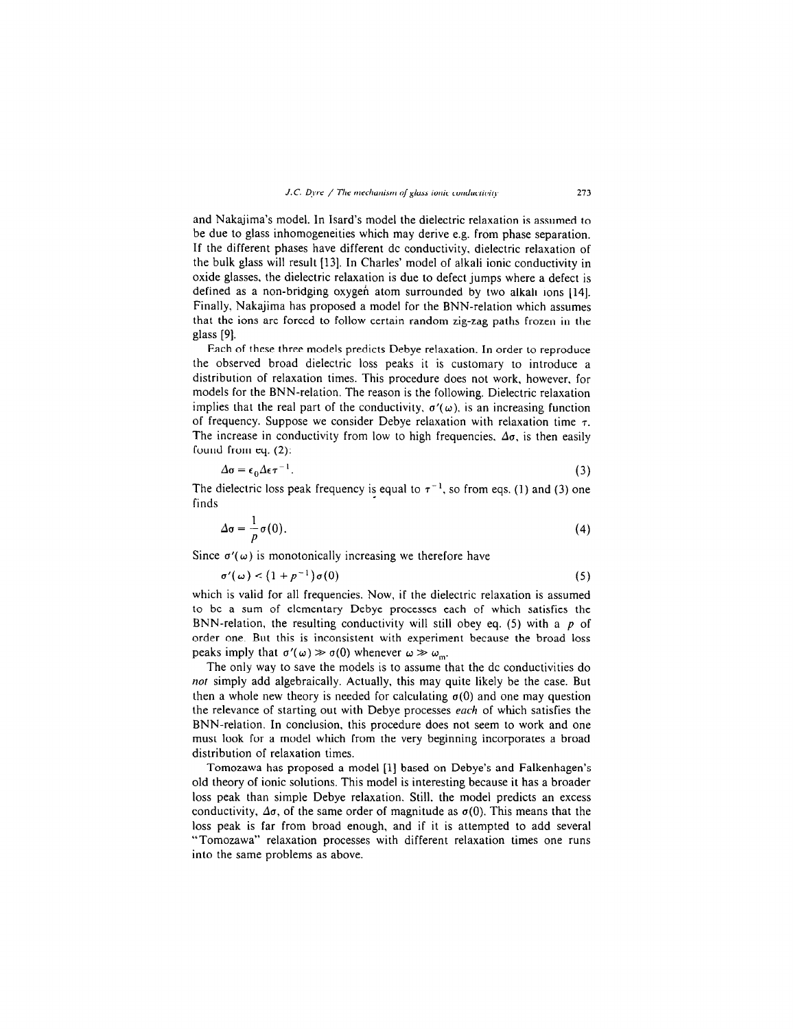and Nakajima's model. In Isard's model the dielectric relaxation is assumed to be due to glass inhomogeneities which may derive e.g. from phase separation. If the different phases have different dc conductivity. dielectric relaxation of the bulk glass will result [13]. In Charles' model of alkali ionic conductivity in oxide glasses. the dielectric relaxation is due to defect jumps where a defect is defined as a non-bridging oxygen atom surrounded by two alkali ions [14]. Finally, Nakajima has proposed a model for the BNN-relation which assumes that the ions are forced to follow certain random zig-zag paths frozen in the glass [9].

Each of these three models predicts Debye relaxation. In order to reproduce the observed broad dielectric loss peaks it is customary to introduce a distribution of relaxation times. This procedure does not work, however, for models for the BNN-relation. The reason is the following. Dielectric relaxation implies that the real part of the conductivity,  $\sigma'(\omega)$ , is an increasing function of frequency. Suppose we consider Debye relaxation with relaxation time  $\tau$ . The increase in conductivity from low to high frequencies.  $\Delta \sigma$ , is then easily found from eq. (2):

$$
\Delta \sigma = \epsilon_0 \Delta \epsilon \tau^{-1}.
$$

The dielectric loss peak frequency is equal to  $\tau^{-1}$ , so from eqs. (1) and (3) one finds

$$
\Delta \sigma = \frac{1}{p} \sigma(0). \tag{4}
$$

Since  $\sigma'(\omega)$  is monotonically increasing we therefore have

$$
\sigma'(\omega) < \left(1 + p^{-1}\right)\sigma(0) \tag{5}
$$

which is valid for all frequencies. Now, if the dielectric relaxation is assumed to be a sum of elementary Debye processes each of which satisfies the BNN-relation, the resulting conductivity will still obey eq. (5) with a p of order one. But this is inconsistent with experiment because the broad loss peaks imply that  $\sigma'(\omega) \gg \sigma(0)$  whenever  $\omega \gg \omega_m$ .

The only way to save the models is to assume that the dc conductivities do not simply add algebraically. Actually, this may quite likely be the case. But then a whole new theory is needed for calculating  $\sigma(0)$  and one may question the relevance of starting out with Debye processes each of which satisfies the BNN-relation. In conclusion, this procedure does not seem to work and one must look for a model which from the very beginning incorporates a broad distribution of relaxation times.

Tomozawa has proposed a model [l] based on Debye's and Falkenhagen's old theory of ionic solutions. This model is interesting because it has a broader loss peak than simple Debye relaxation. Still, the model predicts an excess conductivity,  $\Delta\sigma$ , of the same order of magnitude as  $\sigma(0)$ . This means that the loss peak is far from broad enough, and if it is attempted to add several "Tomozawa" relaxation processes with different relaxation times one runs into the same problems as above.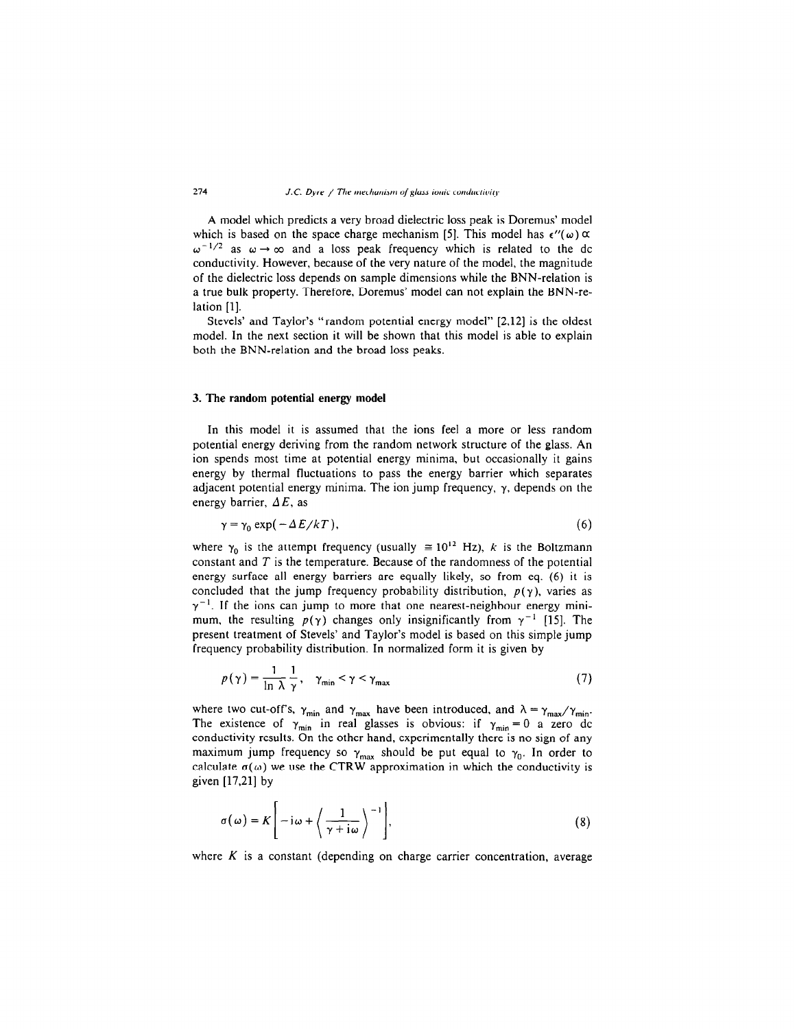A model which predicts a very broad dielectric loss peak is Doremus' model which is based on the space charge mechanism [5]. This model has  $\epsilon''(\omega) \propto$  $\omega^{-1/2}$  as  $\omega \rightarrow \infty$  and a loss peak frequency which is related to the dc conductivity. However, because of the very nature of the model, the magnitude of the dielectric loss depends on sample dimensions while the BNN-relation is a true bulk property. Therefore, Doremus' model can not explain the BNN-relation [l].

Stevels' and Taylor's "random potential energy model" [2,12] is the oldest model. In the next section it will be shown that this model is able to explain both the BNN-relation and the broad loss peaks.

### 3. The random potential energy model

In this model it is assumed that the ions feel a more or less random potential energy deriving from the random network structure of the glass. An ion spends most time at potential energy minima, but occasionally it gains energy by thermal fluctuations to pass the energy barrier which separates adjacent potential energy minima. The ion jump frequency,  $\gamma$ , depends on the energy barrier,  $\Delta E$ , as

$$
\gamma = \gamma_0 \exp(-\Delta E / kT), \tag{6}
$$

where  $\gamma_0$  is the attempt frequency (usually  $\approx 10^{12}$  Hz), k is the Boltzmann constant and  $T$  is the temperature. Because of the randomness of the potential energy surface all energy barriers are equally likely, so from eq. (6) it is concluded that the jump frequency probability distribution,  $p(\gamma)$ , varies as  $\gamma^{-1}$ . If the ions can jump to more that one nearest-neighbour energy minimum, the resulting  $p(\gamma)$  changes only insignificantly from  $\gamma^{-1}$  [15]. The present treatment of Stevels' and Taylor's model is based on this simple jump frequency probability distribution. In normalized form it is given by

$$
p(\gamma) = \frac{1}{\ln \lambda} \frac{1}{\gamma}, \quad \gamma_{\min} < \gamma < \gamma_{\max}
$$
 (7)

where two cut-off's, y, and y, have been introduced, and  $X = y$ The existence of  $\sim$  in real glasses is obvious: if  $\sim$  0 a zero de conductivity results. On the other hand, experimentally there is no sign of any maximum jump frequency so  $\gamma_{\text{max}}$  should be put equal to  $\gamma_0$ . In order to calculate  $\sigma(\omega)$  we use the CTRW approximation in which the conductivity is given [17,21] by

$$
\sigma(\omega) = K \left[ -i\omega + \left\langle \frac{1}{\gamma + i\omega} \right\rangle^{-1} \right],\tag{8}
$$

where  $K$  is a constant (depending on charge carrier concentration, average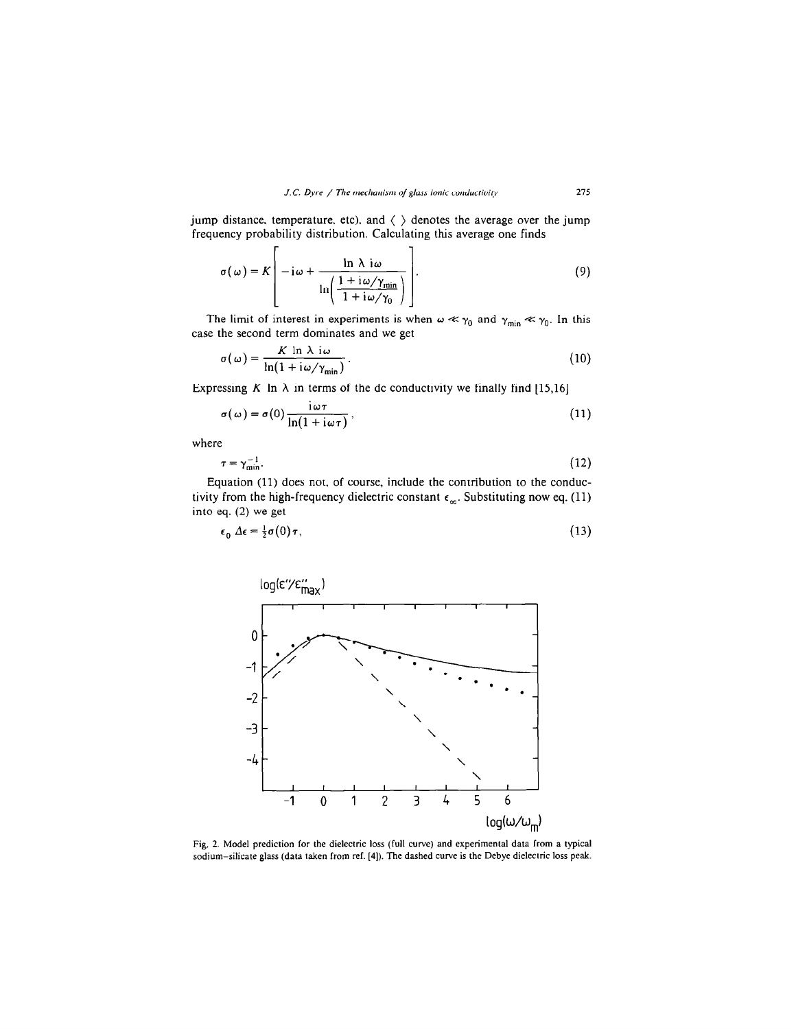jump distance, temperature, etc), and  $\langle \ \rangle$  denotes the average over the jump frequency probability distribution. Calculating this average one finds

$$
\sigma(\omega) = K \left[ -i\omega + \frac{\ln \lambda i\omega}{\ln \left( \frac{1 + i\omega/\gamma_{\min}}{1 + i\omega/\gamma_0} \right)} \right].
$$
\n(9)

The limit of interest in experiments is when  $\omega \ll \gamma_0$  and  $\gamma_{\min} \ll \gamma_0$ . In this case the second term dominates and we get

$$
\sigma(\omega) = \frac{K \ln \lambda i\omega}{\ln(1 + i\omega/\gamma_{\min})}.
$$
 (10)

Expressing K In  $\lambda$  in terms of the dc conductivity we finally find [15,16]

$$
\sigma(\omega) = \sigma(0) \frac{i\omega\tau}{\ln(1 + i\omega\tau)},
$$
\n(11)

where

$$
\tau = \gamma_{\min}^{-1}.\tag{12}
$$

Equation (11) does not, of course, include the contribution to the conductivity from the high-frequency dielectric constant  $\epsilon_{\infty}$ . Substituting now eq. (11) into eq. (2) we get

$$
\epsilon_0 \Delta \epsilon = \frac{1}{2} \sigma(0) \tau, \tag{13}
$$



Fig. 2. Model prediction for the dielectric loss (full curve) and experimental data from a typical sodium-silicate glass (data taken from ref. [4]). The dashed curve is the Debye dielectric loss peak.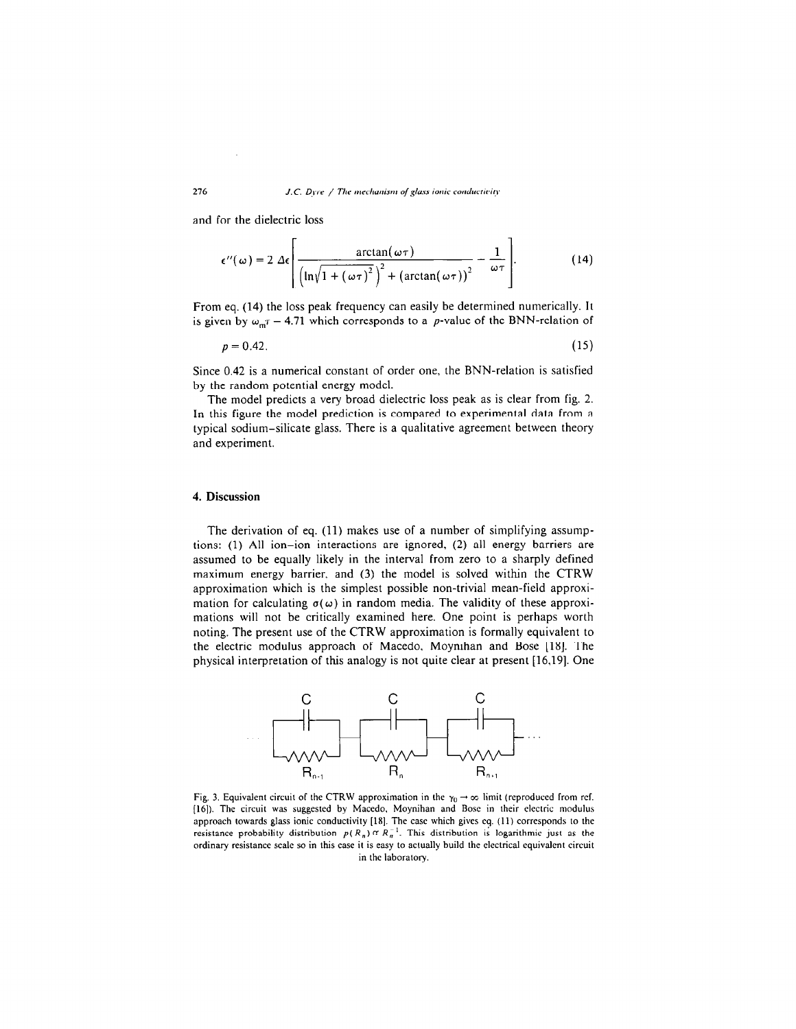and for the dielectric loss

$$
\epsilon''(\omega) = 2 \Delta \epsilon \left[ \frac{\arctan(\omega \tau)}{\left( \ln \sqrt{1 + (\omega \tau)^2} \right)^2 + (\arctan(\omega \tau))^2} - \frac{1}{\omega \tau} \right].
$$
 (14)

From eq. (14) the loss peak frequency can easily be determined numerically. It is given by  $\omega_{m} \tau = 4.71$  which corresponds to a *p*-value of the BNN-relation of

$$
p = 0.42.\tag{15}
$$

Since 0.42 is a numerical constant of order one, the BNN-relation is satisfied by the random potential energy model.

The model predicts a very broad dielectric loss peak as is clear from fig. 2. In this figure the model prediction is compared to experimental data from a typical sodium-silicate glass. There is a qualitative agreement between theory and experiment.

## 4. Discussion

The derivation of eq. (11) makes use of a number of simplifying assumptions: (1) All ion-ion interactions are ignored, (2) all energy barriers are assumed to be equally likely in the interval from zero to a sharply defined maximum energy barrier, and (3) the model is solved within the CTRW approximation which is the simplest possible non-trivial mean-field approximation for calculating  $\sigma(\omega)$  in random media. The validity of these approximations will not be critically examined here. One point is perhaps worth noting. The present use of the CTRW approximation is formally equivalent to the electric modulus approach of Macedo, Moynihan and Bose [18]. The physical interpretation of this analogy is not quite clear at present [16.19]. One



Fig. 5. Equivalent encurr of the CTKW approximation in the  $r_0 \rightarrow \infty$  mint (reproduced from re [16]). The circuit was suggested by Macedo, Moynihan and Bose in their electric modulus approach towards glass ionic conductivity [18]. The case which gives eq. (11) corresponds to the resistance probability distribution  $p(R_n) \propto R_n^{-1}$ . This distribution is logarithmic just as the ordinary resistance scale so in this case it is easy to actually build the electrical equivalent circuit in the laboratory.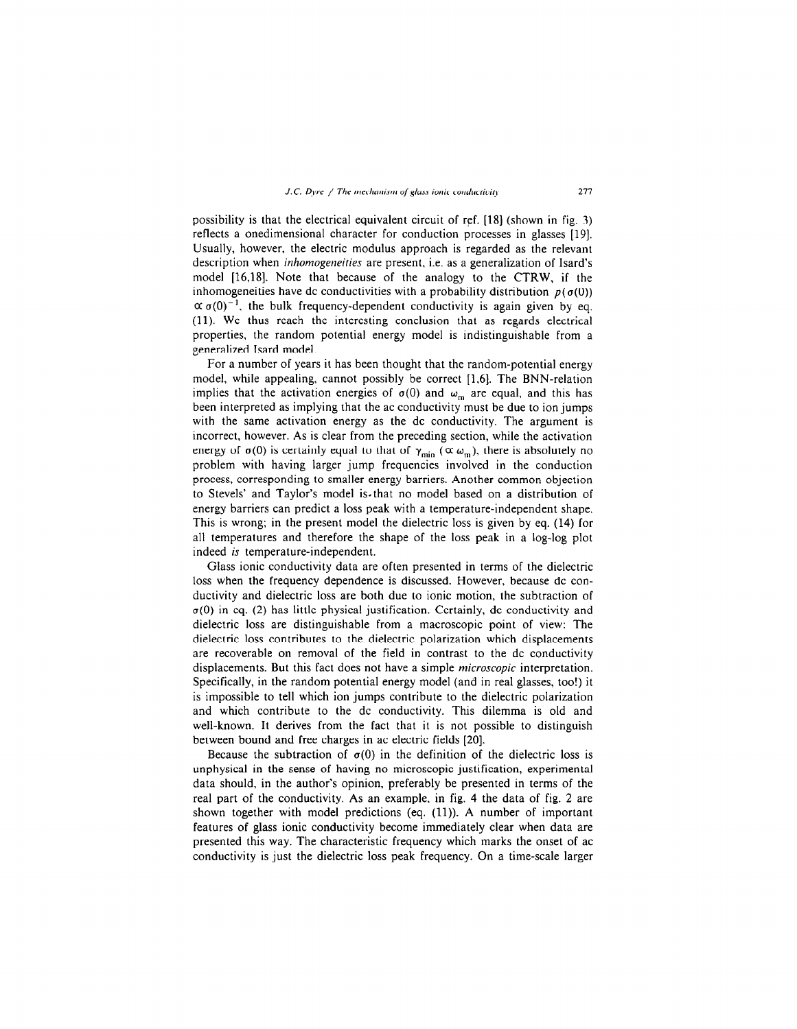possibility is that the electrical equivalent circuit of ref. [18] (shown in fig. 3) reflects a onedimensional character for conduction processes in glasses [I9]. Usually, however, the electric modulus approach is regarded as the relevant description when *inhomogeneities* are present, i.e. as a generalization of Isard's model [16,18]. Note that because of the analogy to the CTRW, if the inhomogeneities have dc conductivities with a probability distribution  $p(\sigma(0))$  $\alpha \sigma(0)^{-1}$ , the bulk frequency-dependent conductivity is again given by eq. (11). We thus reach the interesting conclusion that as regards electrical properties, the random potential energy model is indistinguishable from a generalized Isard model.

For a number of years it has been thought that the random-potential energy model, while appealing, cannot possibly be correct [1.6]. The BNN-relation implies that the activation energies of  $\sigma(0)$  and  $\omega_m$  are equal, and this has been interpreted as implying that the ac conductivity must be due to ion jumps with the same activation energy as the dc conductivity. The argument is incorrect, however. As is clear from the preceding section, while the activation energy of  $\sigma(0)$  is certainly equal to that of  $\gamma_{\text{min}}$  ( $\alpha \omega_{\text{m}}$ ), there is absolutely no problem with having larger jump frequencies involved in the conduction process, corresponding to smaller energy barriers. Another common objection to Stevels' and Taylor's model is- that no model based on a distribution of energy barriers can predict a loss peak with a temperature-independent shape. This is wrong; in the present model the dielectric loss is given by eq. (14) for all temperatures and therefore the shape of the loss peak in a log-log plot indeed is temperature-independent.

Glass ionic conductivity data are often presented in terms of the dielectric loss when the frequency dependence is discussed. However, because dc conductivity and dielectric loss are both due to ionic motion, the subtraction of  $\sigma(0)$  in eq. (2) has little physical justification. Certainly, dc conductivity and dielectric loss are distinguishable from a macroscopic point of view: The dielectric loss contributes to the dielectric polarization which displacements are recoverable on removal of the field in contrast to the dc conductivity displacements. But this fact does not have a simple microscopic interpretation. Specifically, in the random potential energy model (and in real glasses, too!) it is impossible to tell which ion jumps contribute to the dielectric polarization and which contribute to the dc conductivity. This dilemma is old and well-known. It derives from the fact that it is not possible to distinguish between bound and free charges in ac electric fields [20].

Because the subtraction of  $\sigma(0)$  in the definition of the dielectric loss is unphysical in the sense of having no microscopic justification, experimental data should, in the author's opinion, preferably be presented in terms of the real part of the conductivity. As an example, in fig. 4 the data of fig. 2 are shown together with model predictions (eq. (11)). A number of important features of glass ionic conductivity become immediately clear when data are presented this way. The characteristic frequency which marks the onset of ac conductivity is just the dielectric loss peak frequency. On a time-scale larger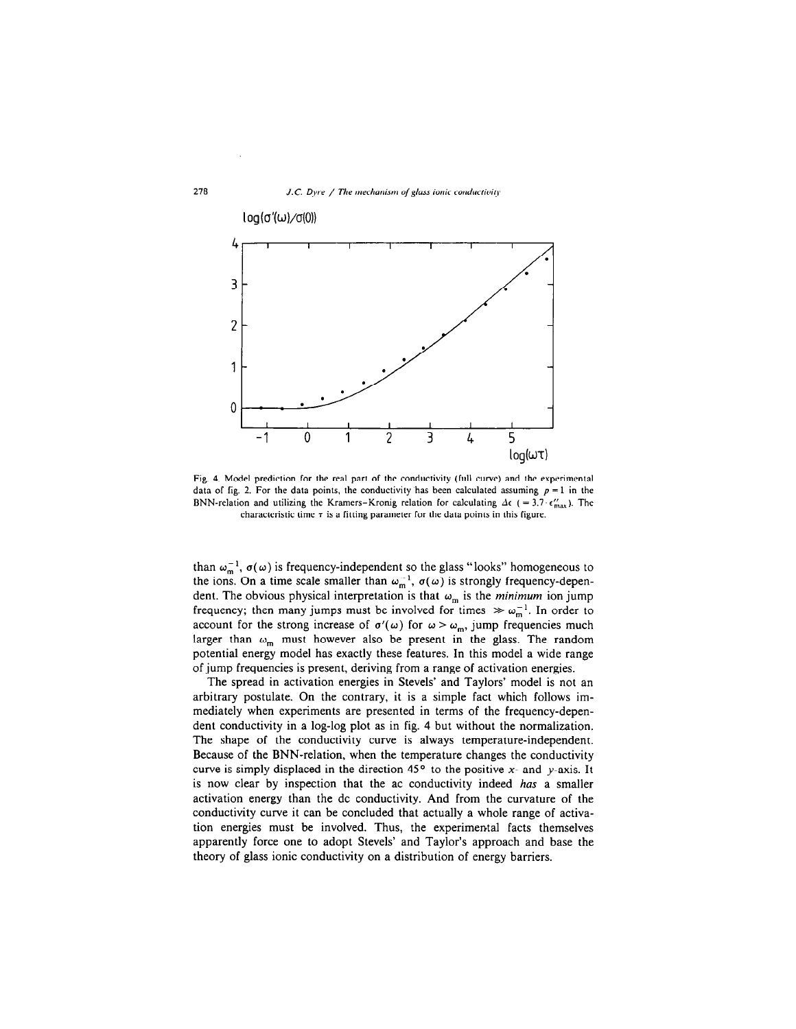

Fig. 4. Model prediction for the real part of the conductivity (full curve) and the experimental data of fig. 2. For the data points, the conductivity has been calculated assuming  $p = 1$  in the BNN-relation and utilizing the Kramers-Kronig relation for calculating  $\Delta \epsilon$  (=3.7. $\epsilon_{\text{max}}'$ ). The characteristic time  $\tau$  is a fitting parameter for the data points in this figure.

than  $\omega_m^{-1}$ ,  $\sigma(\omega)$  is frequency-independent so the glass "looks" homogeneous to the ions. On a time scale smaller than  $\omega_m^{-1}$ ,  $\sigma(\omega)$  is strongly frequency-dependent. The obvious physical interpretation is that  $\omega_m$  is the *minimum* ion jump frequency; then many jumps must be involved for times  $\gg \omega_m^{-1}$ . In order to account for the strong increase of  $\sigma'(\omega)$  for  $\omega > \omega_m$ , jump frequencies much larger than  $\ldots$  must however also be present in the glass. The readem potential  $\omega_m$  mode now over also see product in the gass. The rangement potential energy model has exactly these features. In this model a wide range of jump frequencies is present, deriving from a range of activation energies.

The spread in activation energies in Stevels' and Taylor? model is not an arbitrary postulate. On the contrary, it is a simple fact which follows immediately when experiments are presented in terms of the frequency-dependent conductivity in a log-log plot as in fig. 4 but without the normalization. The shape of the conductivity curve is always temperature-independent. The shape of the conductivity curve is always temperature independent. persuade of the proto-relation, when the temperature enanges the conductivity carve is simply displaced in the direction  $\pm$  to the positive  $\lambda$ - and y-axis. It is now clear by inspection that the ac conductivity indeed has a smaller activation energy than the dc conductivity. And from the curvature of the conductivity curve it can be concluded that actually a whole range of activation energies must be involved. Thus, the experimental facts themselves apparently force one to adopt Stevels' and Taylor's approach and base the theory of glass ionic conductivity on a distribution of energy barriers.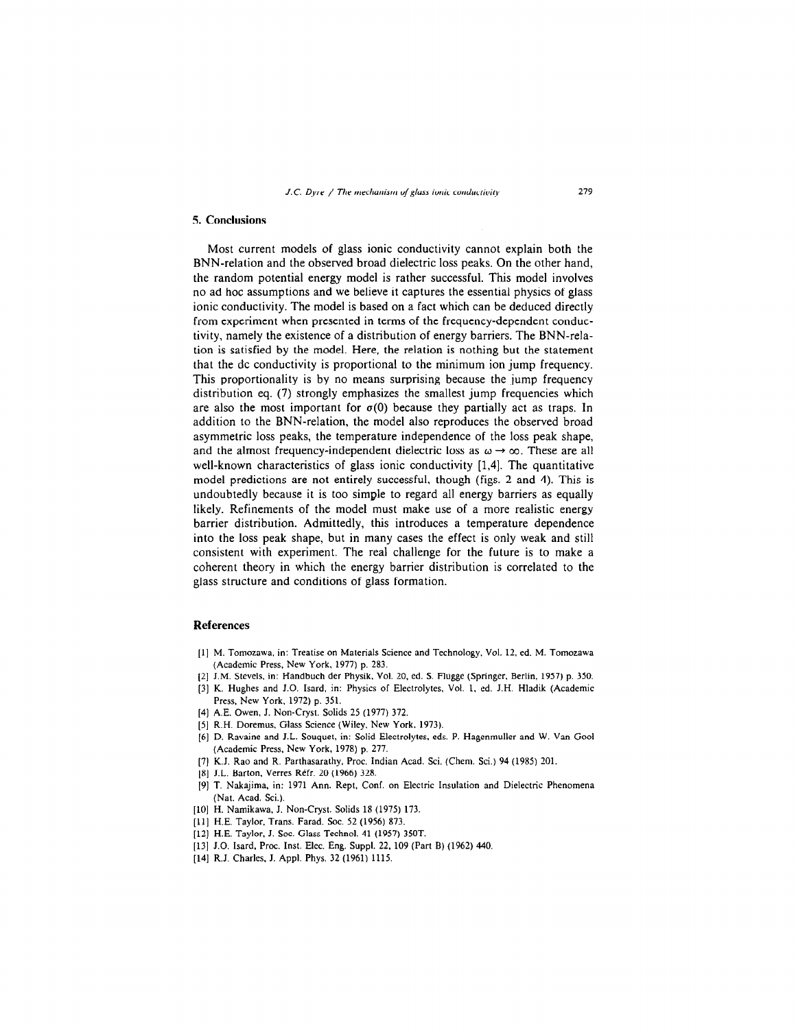### 5. Conclusions

Most current models of glass ionic conductivity cannot explain both the BNN-relation and the observed broad dielectric loss peaks. On the other hand, the random potential energy model is rather successful. This model involves no ad hoc assumptions and we believe it captures the essential physics of glass ionic conductivity. The model is based on a fact which can be deduced directly from experiment when presented in terms of the frequency-dependent conductivity, namely the existence of a distribution of energy barriers. The BNN-relation is satisfied by the model. Here, the relation is nothing but the statement that the dc conductivity is proportional to the minimum ion jump frequency. This proportionality is by no means surprising because the jump frequency distribution eq. (7) strongly emphasizes the smallest jump frequencies which are also the most important for  $\sigma(0)$  because they partially act as traps. In addition to the BNN-relation, the model also reproduces the observed broad asymmetric loss peaks, the temperature independence of the loss peak shape, and the almost frequency-independent dielectric loss as  $\omega \rightarrow \infty$ . These are all well-known characteristics of glass ionic conductivity [1,4]. The quantitative model predictions are not entirely successful, though (figs. 2 and 4). This is undoubtedly because it is too simple to regard all energy barriers as equally likely. Refinements of the model must make use of a more realistic energy barrier distribution. Admittedly, this introduces a temperature dependence into the loss peak shape, but in many cases the effect is only weak and still consistent with experiment. The real challenge for the future is to make a coherent theory in which the energy barrier distribution is correlated to the glass structure and conditions of glass formation.

## References

- [l] M. Tomozawa, in: Treatise on Materials Science and Technology, Vol. 12. ed. M. Tomozawa (Academic Press, New York, 1977) p. 283.
- (21 J.M. Stevels. in: Handbuch der Physik, Vol. 20. ed. S. Fliigge (Springer, Berlin, 1957) p. 350.
- [3] K. Hughes and J.O. Isard, in: Physics of Electrolytes, Vol. 1, ed. J.H. Hladik (Academic Press, New York. 1972) p. 351.
- [4] A.E. Owen, J. Non-Cryst. Solids 25 (1977) 372.
- [5] R.H. Doremus, Glass Science (Wiley, New York. 1973).
- [6] D. Ravaine and J.L. Souquet, in: Solid Electrolytes, eds. P. Hagenmuller and W. Van Go01 (Academic Press, New York, 1978) p. 277.  $\frac{1}{2}$  K. Radio and R. Participation Academy. Proc. Indian Academy. Sci.
- [8] J.L. Barton. Verres RCfr. 20 (1966) 328.
- $[9]$  J.L. Barton, Vertes Kert, Z0 (1900) J.26.
- *i.* Academic, *m.*  $\mu$  M. Acad. Sol.).
- [LO] H. Frannkawa, J. Fron-Cryst. Sonus To  $(1975)$
- [11] H.E. Taylor, Trans. Farad. Soc. 52 (1956) 873.
- [12] H.E. Taylor, J. Soc. Glass Technol. 41 (1957) 350T.
- [13] J.O. Isard, Proc. Inst. Elec. Eng. Suppl. 22, 109 (Part B) (1962) 440. [14] R.J. Charles, J. Appl. Phys. 32 (1961) 1115.
-